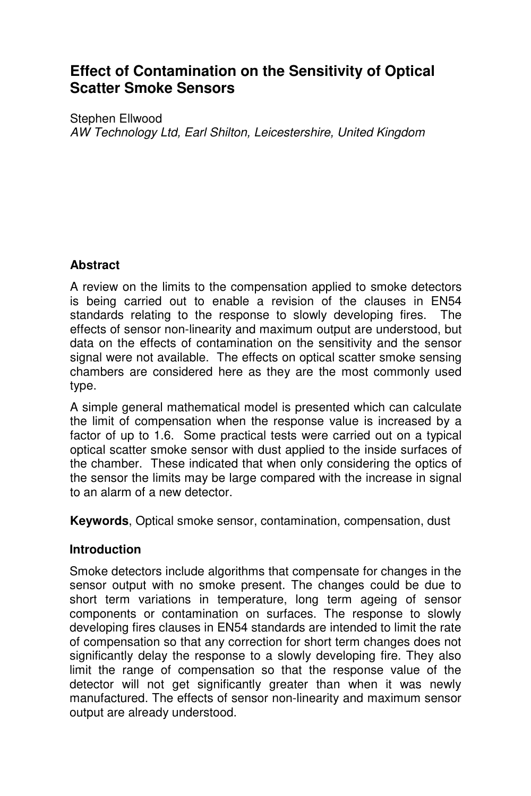# **Effect of Contamination on the Sensitivity of Optical Scatter Smoke Sensors**

Stephen Ellwood *AW Technology Ltd, Earl Shilton, Leicestershire, United Kingdom* 

## **Abstract**

A review on the limits to the compensation applied to smoke detectors is being carried out to enable a revision of the clauses in EN54 standards relating to the response to slowly developing fires. The effects of sensor non-linearity and maximum output are understood, but data on the effects of contamination on the sensitivity and the sensor signal were not available. The effects on optical scatter smoke sensing chambers are considered here as they are the most commonly used type.

A simple general mathematical model is presented which can calculate the limit of compensation when the response value is increased by a factor of up to 1.6. Some practical tests were carried out on a typical optical scatter smoke sensor with dust applied to the inside surfaces of the chamber. These indicated that when only considering the optics of the sensor the limits may be large compared with the increase in signal to an alarm of a new detector.

**Keywords**, Optical smoke sensor, contamination, compensation, dust

## **Introduction**

Smoke detectors include algorithms that compensate for changes in the sensor output with no smoke present. The changes could be due to short term variations in temperature, long term ageing of sensor components or contamination on surfaces. The response to slowly developing fires clauses in EN54 standards are intended to limit the rate of compensation so that any correction for short term changes does not significantly delay the response to a slowly developing fire. They also limit the range of compensation so that the response value of the detector will not get significantly greater than when it was newly manufactured. The effects of sensor non-linearity and maximum sensor output are already understood.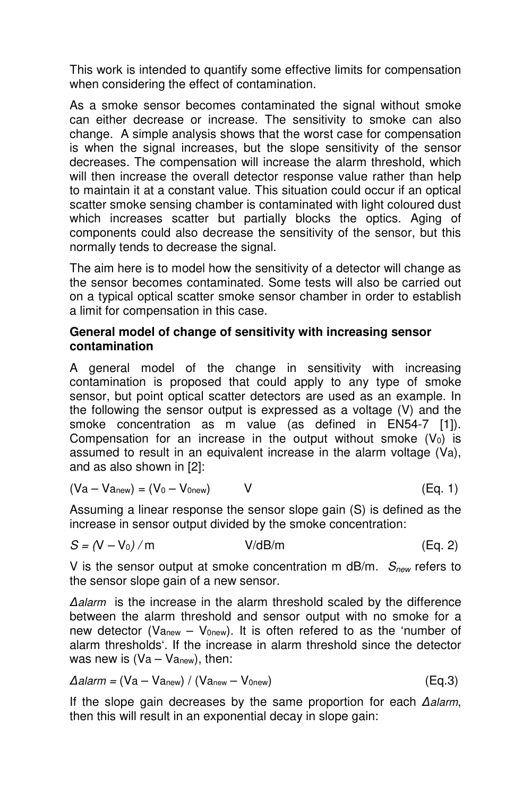This work is intended to quantify some effective limits for compensation when considering the effect of contamination.

As a smoke sensor becomes contaminated the signal without smoke can either decrease or increase. The sensitivity to smoke can also change. A simple analysis shows that the worst case for compensation is when the signal increases, but the slope sensitivity of the sensor decreases. The compensation will increase the alarm threshold, which will then increase the overall detector response value rather than help to maintain it at a constant value. This situation could occur if an optical scatter smoke sensing chamber is contaminated with light coloured dust which increases scatter but partially blocks the optics. Aging of components could also decrease the sensitivity of the sensor, but this normally tends to decrease the signal.

The aim here is to model how the sensitivity of a detector will change as the sensor becomes contaminated. Some tests will also be carried out on a typical optical scatter smoke sensor chamber in order to establish a limit for compensation in this case.

#### **General model of change of sensitivity with increasing sensor contamination**

A general model of the change in sensitivity with increasing contamination is proposed that could apply to any type of smoke sensor, but point optical scatter detectors are used as an example. In the following the sensor output is expressed as a voltage (V) and the smoke concentration as m value (as defined in EN54-7 [1]). Compensation for an increase in the output without smoke  $(V_0)$  is assumed to result in an equivalent increase in the alarm voltage (Va), and as also shown in [2]:

$$
(Va - Vanew) = (V0 - V0new) \t V \t (Eq. 1)
$$

Assuming a linear response the sensor slope gain (S) is defined as the increase in sensor output divided by the smoke concentration:

$$
S = (V - V_0) / m \t\t V/dB/m \t\t (Eq. 2)
$$

V is the sensor output at smoke concentration m dB/m. *Snew* refers to the sensor slope gain of a new sensor.

*∆alarm* is the increase in the alarm threshold scaled by the difference between the alarm threshold and sensor output with no smoke for a new detector (Va<sub>new</sub> – V<sub>0new</sub>). It is often refered to as the 'number of alarm thresholds'. If the increase in alarm threshold since the detector was new is  $(Va - Va<sub>new</sub>)$ , then:

$$
\Delta \text{alarm} = (Va - Va_{new}) / (Va_{new} - V_{0new}) \tag{Eq.3}
$$

If the slope gain decreases by the same proportion for each *∆alarm*, then this will result in an exponential decay in slope gain: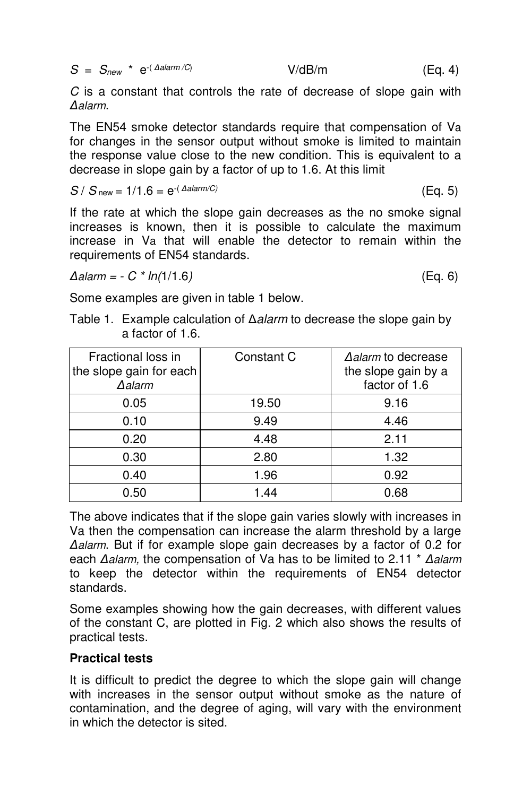|  |  | $S = S_{new}$ * $e^{-(\Delta alarm/C)}$ | V/dB/m | (Eq. 4) |  |  |
|--|--|-----------------------------------------|--------|---------|--|--|
|--|--|-----------------------------------------|--------|---------|--|--|

*C* is a constant that controls the rate of decrease of slope gain with *∆alarm*.

The EN54 smoke detector standards require that compensation of Va for changes in the sensor output without smoke is limited to maintain the response value close to the new condition. This is equivalent to a decrease in slope gain by a factor of up to 1.6. At this limit

$$
S / Snew = 1/1.6 = e-(\Delta alarm/C)
$$
 (Eq. 5)

If the rate at which the slope gain decreases as the no smoke signal increases is known, then it is possible to calculate the maximum increase in Va that will enable the detector to remain within the requirements of EN54 standards.

*∆alarm = - C \* ln(*1/1.6*)* (Eq. 6)

Some examples are given in table 1 below.

Table 1. Example calculation of ∆*alarm* to decrease the slope gain by a factor of 1.6.

| Fractional loss in<br>the slope gain for each<br>$\Delta$ alarm | Constant C | Aalarm to decrease<br>the slope gain by a<br>factor of 1.6 |
|-----------------------------------------------------------------|------------|------------------------------------------------------------|
| 0.05                                                            | 19.50      | 9.16                                                       |
| 0.10                                                            | 9.49       | 4.46                                                       |
| 0.20                                                            | 4.48       | 2.11                                                       |
| 0.30                                                            | 2.80       | 1.32                                                       |
| 0.40                                                            | 1.96       | 0.92                                                       |
| 0.50                                                            | 1.44       | 0.68                                                       |

The above indicates that if the slope gain varies slowly with increases in Va then the compensation can increase the alarm threshold by a large *∆alarm*. But if for example slope gain decreases by a factor of 0.2 for each *∆alarm,* the compensation of Va has to be limited to 2.11 \* *∆alarm* to keep the detector within the requirements of EN54 detector standards.

Some examples showing how the gain decreases, with different values of the constant C, are plotted in Fig. 2 which also shows the results of practical tests.

#### **Practical tests**

It is difficult to predict the degree to which the slope gain will change with increases in the sensor output without smoke as the nature of contamination, and the degree of aging, will vary with the environment in which the detector is sited.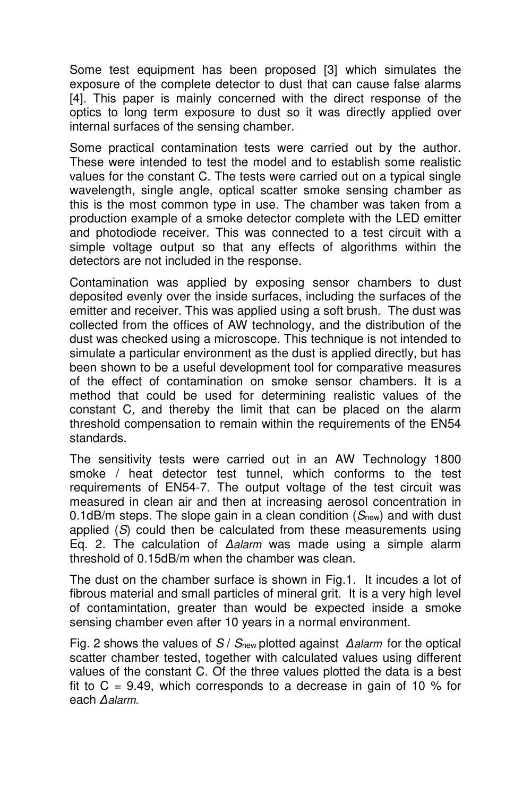Some test equipment has been proposed [3] which simulates the exposure of the complete detector to dust that can cause false alarms [4]. This paper is mainly concerned with the direct response of the optics to long term exposure to dust so it was directly applied over internal surfaces of the sensing chamber.

Some practical contamination tests were carried out by the author. These were intended to test the model and to establish some realistic values for the constant C. The tests were carried out on a typical single wavelength, single angle, optical scatter smoke sensing chamber as this is the most common type in use. The chamber was taken from a production example of a smoke detector complete with the LED emitter and photodiode receiver. This was connected to a test circuit with a simple voltage output so that any effects of algorithms within the detectors are not included in the response.

Contamination was applied by exposing sensor chambers to dust deposited evenly over the inside surfaces, including the surfaces of the emitter and receiver. This was applied using a soft brush. The dust was collected from the offices of AW technology, and the distribution of the dust was checked using a microscope. This technique is not intended to simulate a particular environment as the dust is applied directly, but has been shown to be a useful development tool for comparative measures of the effect of contamination on smoke sensor chambers. It is a method that could be used for determining realistic values of the constant C*,* and thereby the limit that can be placed on the alarm threshold compensation to remain within the requirements of the EN54 standards.

The sensitivity tests were carried out in an AW Technology 1800 smoke / heat detector test tunnel, which conforms to the test requirements of EN54-7. The output voltage of the test circuit was measured in clean air and then at increasing aerosol concentration in 0.1dB/m steps. The slope gain in a clean condition (*S*new) and with dust applied (*S*) could then be calculated from these measurements using Eq. 2. The calculation of *∆alarm* was made using a simple alarm threshold of 0.15dB/m when the chamber was clean.

The dust on the chamber surface is shown in Fig.1. It incudes a lot of fibrous material and small particles of mineral grit. It is a very high level of contamintation, greater than would be expected inside a smoke sensing chamber even after 10 years in a normal environment.

Fig. 2 shows the values of *S* / *S*new plotted against *∆alarm* for the optical scatter chamber tested, together with calculated values using different values of the constant C. Of the three values plotted the data is a best fit to  $C = 9.49$ , which corresponds to a decrease in gain of 10 % for each *∆alarm.*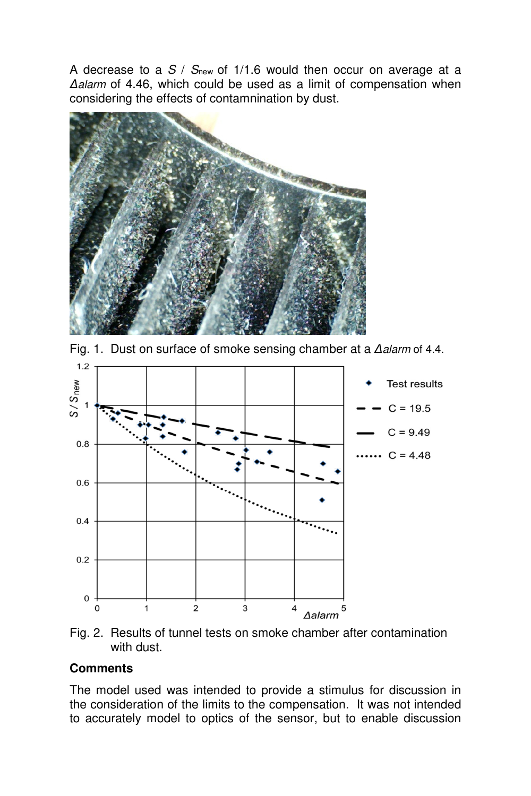A decrease to a *S* / *S*new of 1/1.6 would then occur on average at a *∆alarm* of 4.46, which could be used as a limit of compensation when considering the effects of contamnination by dust.



Fig. 1. Dust on surface of smoke sensing chamber at a *∆alarm* of 4.4.



Fig. 2. Results of tunnel tests on smoke chamber after contamination with dust.

## **Comments**

The model used was intended to provide a stimulus for discussion in the consideration of the limits to the compensation. It was not intended to accurately model to optics of the sensor, but to enable discussion